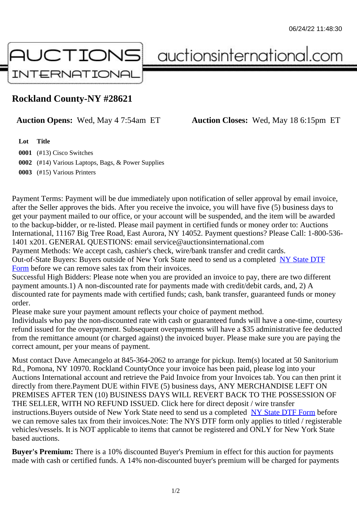## Rockland County-NY #28621

Auction Opens: Wed, May 4 7:54am ET Auction Closes: Wed, May 18 6:15pm ET

Lot Title

0001 (#13) Cisco Switches 0002 (#14) Various Laptops, Bags, & Power Supplies 0003 (#15) Various Printers

Payment Terms: Payment will be due immediately upon notification of seller approval by email invoice, after the Seller approves the bids. After you receive the invoice, you will have five (5) business days to get your payment mailed to our office, or your account will be suspended, and the item will be awarded to the backup-bidder, or re-listed. Please mail payment in certified funds or money order to: Auctions International, 11167 Big Tree Road, East Aurora, NY 14052. Payment questions? Please Call: 1-800-53 1401 x201. GENERAL QUESTIONS: email service@auctionsinternational.com

Payment Methods: We accept cash, cashier's check, wire/bank transfer and credit cards. Out-of-State Buyers: Buyers outside of New York State need to send us a com blestate DTF Form before we can remove sales tax from their invoices.

Successful High Bidders: Please note when you are provided an invoice to pay, there are two different payment amounts.1) A non-discounted rate for payments made with credit/de[bit cards, and](https://www.auctionsinternational.com/auxiliary/downloads/DTF_Form/dtf_fill_in.pdf), 2) A [disco](https://www.auctionsinternational.com/auxiliary/downloads/DTF_Form/dtf_fill_in.pdf)unted rate for payments made with certified funds; cash, bank transfer, quaranteed funds or mone order.

Please make sure your payment amount reflects your choice of payment method.

Individuals who pay the non-discounted rate with cash or quaranteed funds will have a one-time, courte refund issued for the overpayment. Subsequent overpayments will have a \$35 administrative fee deduc from the remittance amount (or charged against) the invoiced buyer. Please make sure you are paying correct amount, per your means of payment.

Must contact Dave Amecangelo at 845-364-2062 to arrange for pickup. Item(s) located at 50 Sanitorium Rd., Pomona, NY 10970. Rockland CountyOnce your invoice has been paid, please log into your Auctions International account and retrieve the Paid Invoice from your Invoices tab. You can then print it directly from there.Payment DUE within FIVE (5) business days, ANY MERCHANDISE LEFT ON PREMISES AFTER TEN (10) BUSINESS DAYS WILL REVERT BACK TO THE POSSESSION OF THE SELLER, WITH NO REFUND ISSUED. Click here for direct deposit / wire transfer instructions. Buyers outside of New York State need to send us a combletedate DTF Form before we can remove sales tax from their invoices.Note: The NYS DTF form only applies to titled / registerabl vehicles/vessels. It is NOT applicable to items that cannot be registered and ONLY for New York State based auctions.

Buyer's Premium: There is a 10% discounted Buyer's Premium in effect for this auction for payments made with cash or certified funds. A 14% non-discounted buyer's premium will be charged for payments